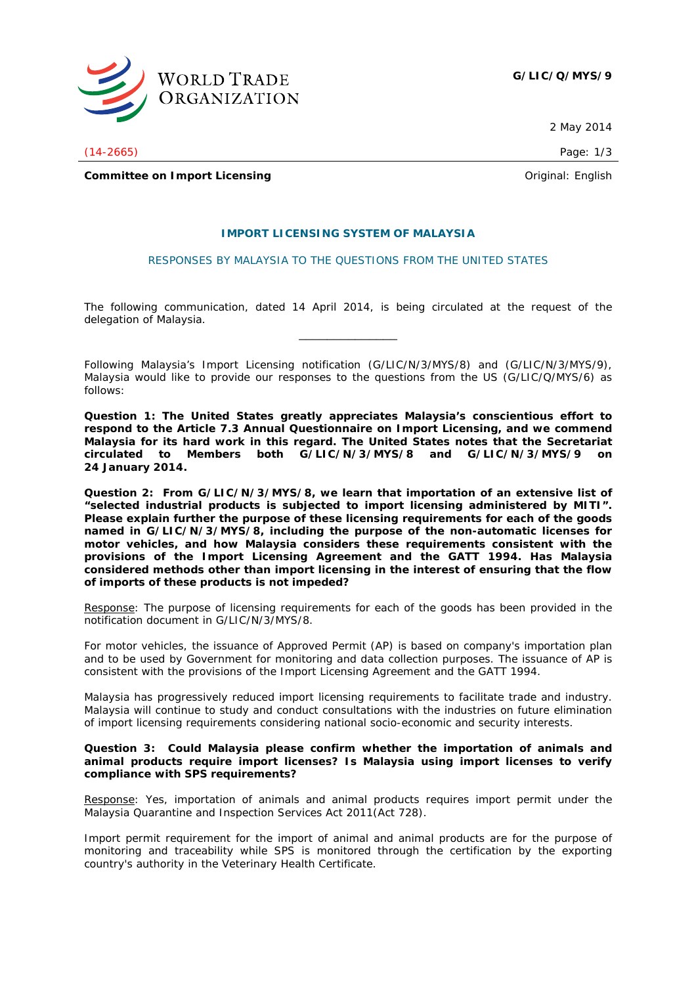

 **G/LIC/Q/MYS/9**

2 May 2014

(14-2665) Page: 1/3

**Committee on Import Licensing Committee on Import Licensing Committee on Import Licensing** 

# **IMPORT LICENSING SYSTEM OF MALAYSIA**

## RESPONSES BY MALAYSIA TO THE QUESTIONS FROM THE UNITED STATES

The following communication, dated 14 April 2014, is being circulated at the request of the delegation of Malaysia. \_\_\_\_\_\_\_\_\_\_\_\_\_\_

Following Malaysia's Import Licensing notification (G/LIC/N/3/MYS/8) and (G/LIC/N/3/MYS/9), Malaysia would like to provide our responses to the questions from the US (G/LIC/Q/MYS/6) as follows:

**Question 1: The United States greatly appreciates Malaysia's conscientious effort to respond to the Article 7.3 Annual Questionnaire on Import Licensing, and we commend Malaysia for its hard work in this regard. The United States notes that the Secretariat circulated to Members both G/LIC/N/3/MYS/8 and G/LIC/N/3/MYS/9 on 24 January 2014.** 

**Question 2: From G/LIC/N/3/MYS/8, we learn that importation of an extensive list of "selected industrial products is subjected to import licensing administered by MITI". Please explain further the purpose of these licensing requirements for each of the goods named in G/LIC/N/3/MYS/8, including the purpose of the non-automatic licenses for motor vehicles, and how Malaysia considers these requirements consistent with the provisions of the Import Licensing Agreement and the GATT 1994. Has Malaysia considered methods other than import licensing in the interest of ensuring that the flow of imports of these products is not impeded?** 

Response: The purpose of licensing requirements for each of the goods has been provided in the notification document in G/LIC/N/3/MYS/8.

For motor vehicles, the issuance of Approved Permit (AP) is based on company's importation plan and to be used by Government for monitoring and data collection purposes. The issuance of AP is consistent with the provisions of the Import Licensing Agreement and the GATT 1994.

Malaysia has progressively reduced import licensing requirements to facilitate trade and industry. Malaysia will continue to study and conduct consultations with the industries on future elimination of import licensing requirements considering national socio-economic and security interests.

## **Question 3: Could Malaysia please confirm whether the importation of animals and animal products require import licenses? Is Malaysia using import licenses to verify compliance with SPS requirements?**

Response: Yes, importation of animals and animal products requires import permit under the Malaysia Quarantine and Inspection Services Act 2011(Act 728).

Import permit requirement for the import of animal and animal products are for the purpose of monitoring and traceability while SPS is monitored through the certification by the exporting country's authority in the Veterinary Health Certificate.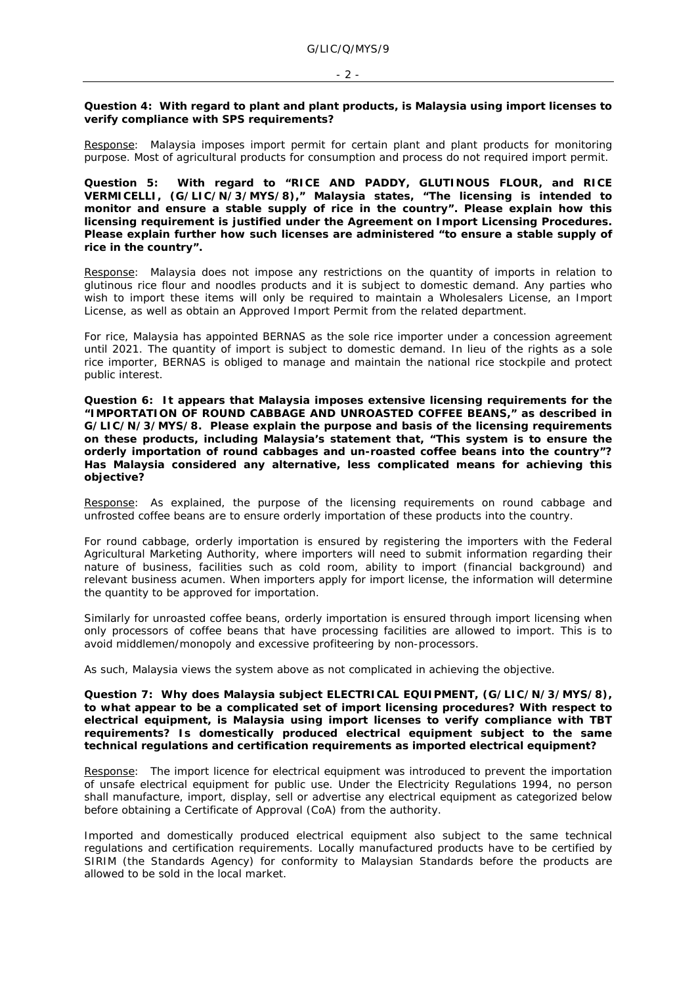#### - 2 -

### **Question 4: With regard to plant and plant products, is Malaysia using import licenses to verify compliance with SPS requirements?**

Response: Malaysia imposes import permit for certain plant and plant products for monitoring purpose. Most of agricultural products for consumption and process do not required import permit.

**Question 5: With regard to "RICE AND PADDY, GLUTINOUS FLOUR, and RICE VERMICELLI, (G/LIC/N/3/MYS/8)," Malaysia states, "The licensing is intended to monitor and ensure a stable supply of rice in the country". Please explain how this licensing requirement is justified under the Agreement on Import Licensing Procedures. Please explain further how such licenses are administered "to ensure a stable supply of rice in the country".** 

Response: Malaysia does not impose any restrictions on the quantity of imports in relation to glutinous rice flour and noodles products and it is subject to domestic demand. Any parties who wish to import these items will only be required to maintain a Wholesalers License, an Import License, as well as obtain an Approved Import Permit from the related department.

For rice, Malaysia has appointed BERNAS as the sole rice importer under a concession agreement until 2021. The quantity of import is subject to domestic demand. In lieu of the rights as a sole rice importer, BERNAS is obliged to manage and maintain the national rice stockpile and protect public interest.

**Question 6: It appears that Malaysia imposes extensive licensing requirements for the "IMPORTATION OF ROUND CABBAGE AND UNROASTED COFFEE BEANS," as described in G/LIC/N/3/MYS/8. Please explain the purpose and basis of the licensing requirements on these products, including Malaysia's statement that, "This system is to ensure the orderly importation of round cabbages and un-roasted coffee beans into the country"? Has Malaysia considered any alternative, less complicated means for achieving this objective?** 

Response: As explained, the purpose of the licensing requirements on round cabbage and unfrosted coffee beans are to ensure orderly importation of these products into the country.

For round cabbage, orderly importation is ensured by registering the importers with the Federal Agricultural Marketing Authority, where importers will need to submit information regarding their nature of business, facilities such as cold room, ability to import (financial background) and relevant business acumen. When importers apply for import license, the information will determine the quantity to be approved for importation.

Similarly for unroasted coffee beans, orderly importation is ensured through import licensing when only processors of coffee beans that have processing facilities are allowed to import. This is to avoid middlemen/monopoly and excessive profiteering by non-processors.

As such, Malaysia views the system above as not complicated in achieving the objective.

**Question 7: Why does Malaysia subject ELECTRICAL EQUIPMENT, (G/LIC/N/3/MYS/8), to what appear to be a complicated set of import licensing procedures? With respect to electrical equipment, is Malaysia using import licenses to verify compliance with TBT requirements? Is domestically produced electrical equipment subject to the same technical regulations and certification requirements as imported electrical equipment?**

Response: The import licence for electrical equipment was introduced to prevent the importation of unsafe electrical equipment for public use. Under the Electricity Regulations 1994, no person shall manufacture, import, display, sell or advertise any electrical equipment as categorized below before obtaining a Certificate of Approval (CoA) from the authority.

Imported and domestically produced electrical equipment also subject to the same technical regulations and certification requirements. Locally manufactured products have to be certified by SIRIM (the Standards Agency) for conformity to Malaysian Standards before the products are allowed to be sold in the local market.